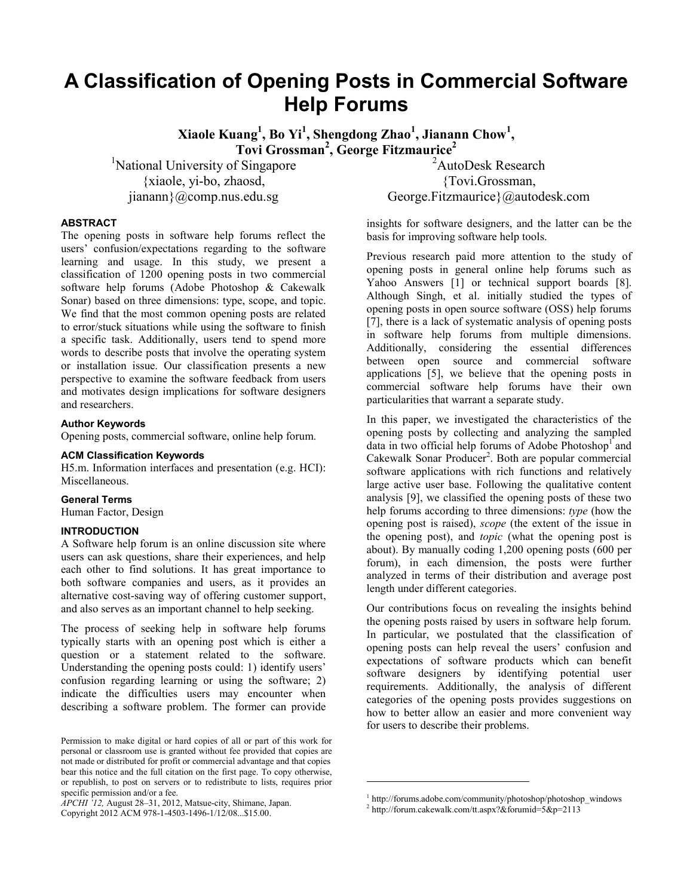# **A Classification of Opening Posts in Commercial Software Help Forums**

**Xiaole Kuang<sup>1</sup> , Bo Yi<sup>1</sup> , Shengdong Zhao<sup>1</sup> , Jianann Chow<sup>1</sup> , Tovi Grossman<sup>2</sup> , George Fitzmaurice<sup>2</sup>**

<sup>1</sup>National University of Singapore {xiaole, yi-bo, zhaosd, jianann}@comp.nus.edu.sg

<sup>2</sup>AutoDesk Research {Tovi.Grossman, George.Fitzmaurice}@autodesk.com

#### **ABSTRACT**

The opening posts in software help forums reflect the users' confusion/expectations regarding to the software learning and usage. In this study, we present a classification of 1200 opening posts in two commercial software help forums (Adobe Photoshop & Cakewalk Sonar) based on three dimensions: type, scope, and topic. We find that the most common opening posts are related to error/stuck situations while using the software to finish a specific task. Additionally, users tend to spend more words to describe posts that involve the operating system or installation issue. Our classification presents a new perspective to examine the software feedback from users and motivates design implications for software designers and researchers.

#### **Author Keywords**

Opening posts, commercial software, online help forum.

# **ACM Classification Keywords**

H5.m. Information interfaces and presentation (e.g. HCI): Miscellaneous.

#### **General Terms**

Human Factor, Design

## **INTRODUCTION**

A Software help forum is an online discussion site where users can ask questions, share their experiences, and help each other to find solutions. It has great importance to both software companies and users, as it provides an alternative cost-saving way of offering customer support, and also serves as an important channel to help seeking.

The process of seeking help in software help forums typically starts with an opening post which is either a question or a statement related to the software. Understanding the opening posts could: 1) identify users' confusion regarding learning or using the software; 2) indicate the difficulties users may encounter when describing a software problem. The former can provide

*APCHI '12,* August 28–31, 2012, Matsue-city, Shimane, Japan.

Copyright 2012 ACM 978-1-4503-1496-1/12/08...\$15.00.

insights for software designers, and the latter can be the basis for improving software help tools.

Previous research paid more attention to the study of opening posts in general online help forums such as Yahoo Answers [\[1\]](#page-3-0) or technical support boards [\[8\]](#page-3-1). Although Singh, et al. initially studied the types of opening posts in open source software (OSS) help forums [\[7\]](#page-3-2), there is a lack of systematic analysis of opening posts in software help forums from multiple dimensions. Additionally, considering the essential differences between open source and commercial software applications [\[5\]](#page-3-3), we believe that the opening posts in commercial software help forums have their own particularities that warrant a separate study.

In this paper, we investigated the characteristics of the opening posts by collecting and analyzing the sampled data in two official help forums of Adobe Photoshop<sup>1</sup> and Cakewalk Sonar Producer<sup>2</sup>. Both are popular commercial software applications with rich functions and relatively large active user base. Following the qualitative content analysis [9], we classified the opening posts of these two help forums according to three dimensions: *type* (how the opening post is raised), *scope* (the extent of the issue in the opening post), and *topic* (what the opening post is about). By manually coding 1,200 opening posts (600 per forum), in each dimension, the posts were further analyzed in terms of their distribution and average post length under different categories.

Our contributions focus on revealing the insights behind the opening posts raised by users in software help forum. In particular, we postulated that the classification of opening posts can help reveal the users' confusion and expectations of software products which can benefit software designers by identifying potential user requirements. Additionally, the analysis of different categories of the opening posts provides suggestions on how to better allow an easier and more convenient way for users to describe their problems.

l

Permission to make digital or hard copies of all or part of this work for personal or classroom use is granted without fee provided that copies are not made or distributed for profit or commercial advantage and that copies bear this notice and the full citation on the first page. To copy otherwise, or republish, to post on servers or to redistribute to lists, requires prior specific permission and/or a fee.

<sup>&</sup>lt;sup>1</sup> http://forums.adobe.com/community/photoshop/photoshop\_windows

<sup>2</sup> http://forum.cakewalk.com/tt.aspx?&forumid=5&p=2113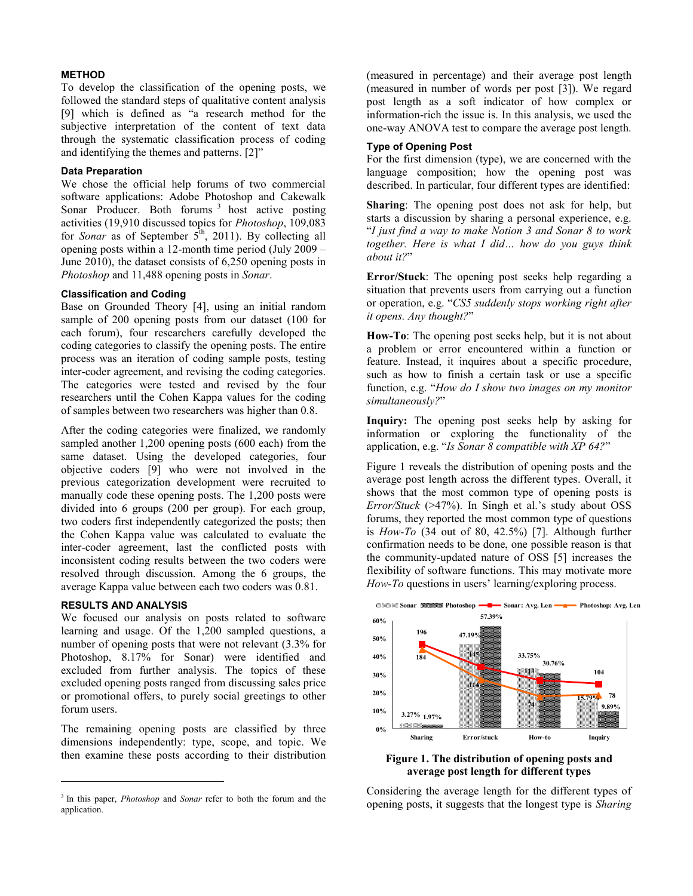#### **METHOD**

To develop the classification of the opening posts, we followed the standard steps of qualitative content analysis [9] which is defined as "a research method for the subjective interpretation of the content of text data through the systematic classification process of coding and identifying the themes and patterns. [\[2\]](#page-3-4)"

#### **Data Preparation**

We chose the official help forums of two commercial software applications: Adobe Photoshop and Cakewalk Sonar Producer. Both forums 3 host active posting activities (19,910 discussed topics for *Photoshop*, 109,083 for *Sonar* as of September  $5<sup>th</sup>$ , 2011). By collecting all opening posts within a 12-month time period (July 2009 – June 2010), the dataset consists of 6,250 opening posts in *Photoshop* and 11,488 opening posts in *Sonar*.

# **Classification and Coding**

Base on Grounded Theory [\[4\]](#page-3-5), using an initial random sample of 200 opening posts from our dataset (100 for each forum), four researchers carefully developed the coding categories to classify the opening posts. The entire process was an iteration of coding sample posts, testing inter-coder agreement, and revising the coding categories. The categories were tested and revised by the four researchers until the Cohen Kappa values for the coding of samples between two researchers was higher than 0.8.

After the coding categories were finalized, we randomly sampled another 1,200 opening posts (600 each) from the same dataset. Using the developed categories, four objective coders [9] who were not involved in the previous categorization development were recruited to manually code these opening posts. The 1,200 posts were divided into 6 groups (200 per group). For each group, two coders first independently categorized the posts; then the Cohen Kappa value was calculated to evaluate the inter-coder agreement, last the conflicted posts with inconsistent coding results between the two coders were resolved through discussion. Among the 6 groups, the average Kappa value between each two coders was 0.81.

# **RESULTS AND ANALYSIS**

l

We focused our analysis on posts related to software learning and usage. Of the 1,200 sampled questions, a number of opening posts that were not relevant (3.3% for Photoshop, 8.17% for Sonar) were identified and excluded from further analysis. The topics of these excluded opening posts ranged from discussing sales price or promotional offers, to purely social greetings to other forum users.

The remaining opening posts are classified by three dimensions independently: type, scope, and topic. We then examine these posts according to their distribution (measured in percentage) and their average post length (measured in number of words per post [\[3\]](#page-3-6)). We regard post length as a soft indicator of how complex or information-rich the issue is. In this analysis, we used the one-way ANOVA test to compare the average post length.

# **Type of Opening Post**

For the first dimension (type), we are concerned with the language composition; how the opening post was described. In particular, four different types are identified:

**Sharing**: The opening post does not ask for help, but starts a discussion by sharing a personal experience, e.g. "*I just find a way to make Notion 3 and Sonar 8 to work together. Here is what I did… how do you guys think about it?*"

**Error/Stuck**: The opening post seeks help regarding a situation that prevents users from carrying out a function or operation, e.g. "*CS5 suddenly stops working right after it opens. Any thought?*"

**How-To**: The opening post seeks help, but it is not about a problem or error encountered within a function or feature. Instead, it inquires about a specific procedure, such as how to finish a certain task or use a specific function, e.g. "*How do I show two images on my monitor simultaneously?*"

**Inquiry:** The opening post seeks help by asking for information or exploring the functionality of the application, e.g. "*Is Sonar 8 compatible with XP 64?*"

Figure 1 reveals the distribution of opening posts and the average post length across the different types. Overall, it shows that the most common type of opening posts is *Error/Stuck* (>47%). In Singh et al.'s study about OSS forums, they reported the most common type of questions is *How-To* (34 out of 80, 42.5%) [\[7\]](#page-3-2). Although further confirmation needs to be done, one possible reason is that the community-updated nature of OSS [\[5\]](#page-3-3) increases the flexibility of software functions. This may motivate more *How-To* questions in users' learning/exploring process.



**Figure 1. The distribution of opening posts and average post length for different types**

Considering the average length for the different types of opening posts, it suggests that the longest type is *Sharing*

<sup>&</sup>lt;sup>3</sup> In this paper, *Photoshop* and *Sonar* refer to both the forum and the application.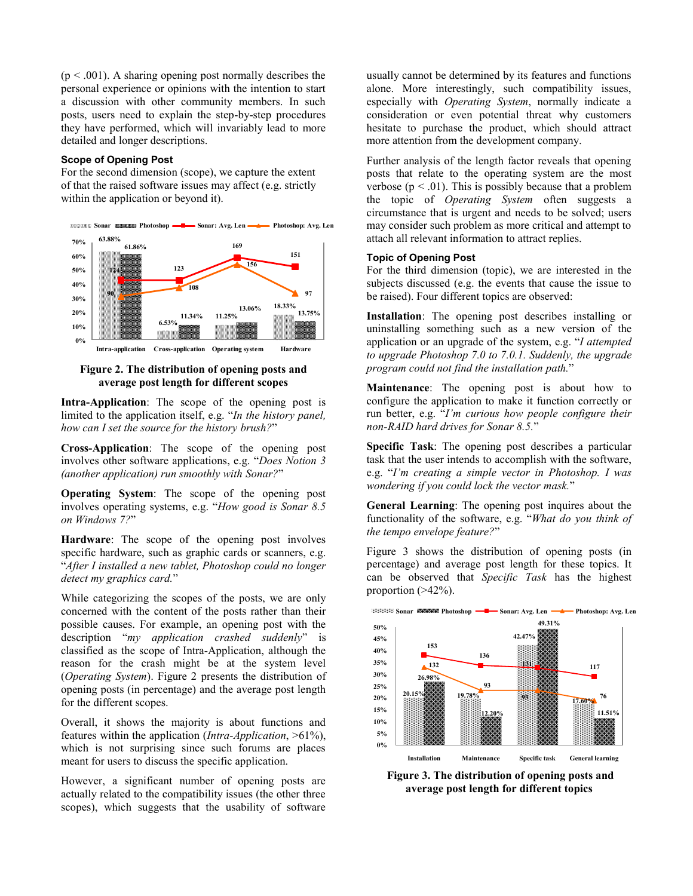$(p < .001)$ . A sharing opening post normally describes the personal experience or opinions with the intention to start a discussion with other community members. In such posts, users need to explain the step-by-step procedures they have performed, which will invariably lead to more detailed and longer descriptions.

#### **Scope of Opening Post**

For the second dimension (scope), we capture the extent of that the raised software issues may affect (e.g. strictly within the application or beyond it).



**Figure 2. The distribution of opening posts and average post length for different scopes**

**Intra-Application**: The scope of the opening post is limited to the application itself, e.g. "*In the history panel, how can I set the source for the history brush?*"

**Cross-Application**: The scope of the opening post involves other software applications, e.g. "*Does Notion 3 (another application) run smoothly with Sonar?*"

**Operating System**: The scope of the opening post involves operating systems, e.g. "*How good is Sonar 8.5 on Windows 7?*"

**Hardware**: The scope of the opening post involves specific hardware, such as graphic cards or scanners, e.g. "*After I installed a new tablet, Photoshop could no longer detect my graphics card.*"

While categorizing the scopes of the posts, we are only concerned with the content of the posts rather than their possible causes. For example, an opening post with the description "*my application crashed suddenly*" is classified as the scope of Intra-Application, although the reason for the crash might be at the system level (*Operating System*). Figure 2 presents the distribution of opening posts (in percentage) and the average post length for the different scopes.

Overall, it shows the majority is about functions and features within the application (*Intra-Application*, >61%), which is not surprising since such forums are places meant for users to discuss the specific application.

However, a significant number of opening posts are actually related to the compatibility issues (the other three scopes), which suggests that the usability of software usually cannot be determined by its features and functions alone. More interestingly, such compatibility issues, especially with *Operating System*, normally indicate a consideration or even potential threat why customers hesitate to purchase the product, which should attract more attention from the development company.

Further analysis of the length factor reveals that opening posts that relate to the operating system are the most verbose ( $p < .01$ ). This is possibly because that a problem the topic of *Operating System* often suggests a circumstance that is urgent and needs to be solved; users may consider such problem as more critical and attempt to attach all relevant information to attract replies.

## **Topic of Opening Post**

For the third dimension (topic), we are interested in the subjects discussed (e.g. the events that cause the issue to be raised). Four different topics are observed:

**Installation**: The opening post describes installing or uninstalling something such as a new version of the application or an upgrade of the system, e.g. "*I attempted to upgrade Photoshop 7.0 to 7.0.1. Suddenly, the upgrade program could not find the installation path.*"

**Maintenance**: The opening post is about how to configure the application to make it function correctly or run better, e.g. "*I'm curious how people configure their non-RAID hard drives for Sonar 8.5.*"

**Specific Task**: The opening post describes a particular task that the user intends to accomplish with the software, e.g. "*I'm creating a simple vector in Photoshop. I was wondering if you could lock the vector mask.*"

**General Learning**: The opening post inquires about the functionality of the software, e.g. "*What do you think of the tempo envelope feature?*"

Figure 3 shows the distribution of opening posts (in percentage) and average post length for these topics. It can be observed that *Specific Task* has the highest proportion  $(>42\%)$ .



**Figure 3. The distribution of opening posts and average post length for different topics**